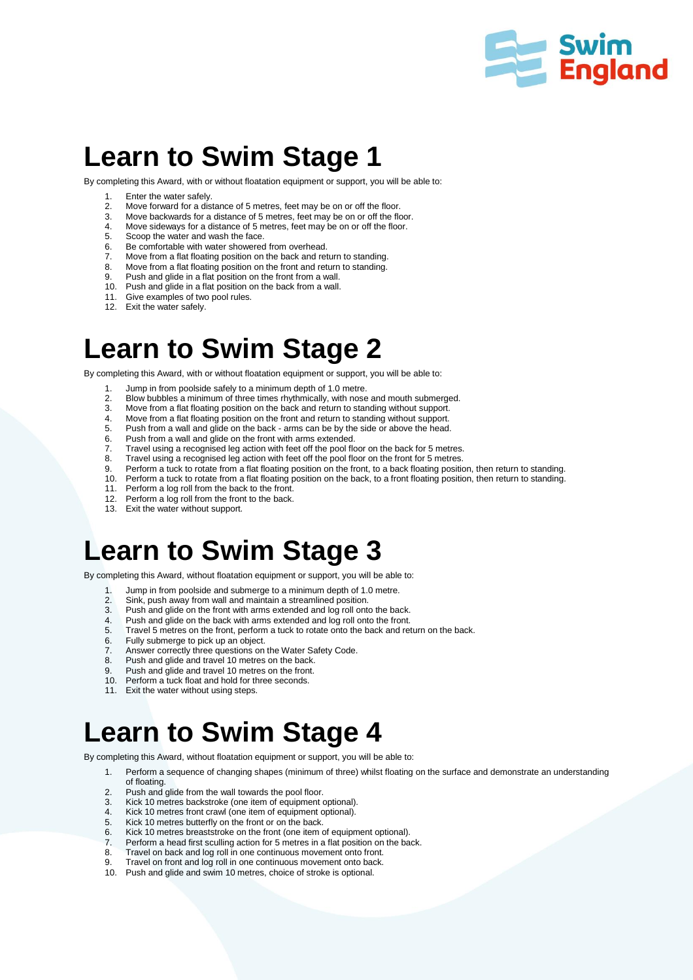

# **Learn to Swim Stage 1**

By completing this Award, with or without floatation equipment or support, you will be able to:

- 1. Enter the water safely.<br>2. Move forward for a dis
- 2. Move forward for a distance of 5 metres, feet may be on or off the floor.<br>3. Move backwards for a distance of 5 metres, feet may be on or off the flo
- 3. Move backwards for a distance of 5 metres, feet may be on or off the floor.
- 4. Move sideways for a distance of 5 metres, feet may be on or off the floor.<br>5. Scoop the water and wash the face.
- 5. Scoop the water and wash the face.<br>6. Be comfortable with water showered
- Be comfortable with water showered from overhead.
- 7. Move from a flat floating position on the back and return to standing.<br>8. Move from a flat floating position on the front and return to standing.
- 8. Move from a flat floating position on the front and return to standing.<br>9. Push and glide in a flat position on the front from a wall. Push and glide in a flat position on the front from a wall.
- 10. Push and glide in a flat position on the back from a wall.
- 11. Give examples of two pool rules.<br>12. Exit the water safely
- Exit the water safely.

# **Learn to Swim Stage 2**

By completing this Award, with or without floatation equipment or support, you will be able to:

- 1. Jump in from poolside safely to a minimum depth of 1.0 metre.<br>2. Blow bubbles a minimum of three times rhythmically, with nose
- 2. Blow bubbles a minimum of three times rhythmically, with nose and mouth submerged.<br>3. Move from a flat floating position on the back and return to standing without support.
- 3. Move from a flat floating position on the back and return to standing without support.
- 4. Move from a flat floating position on the front and return to standing without support.<br>5. Push from a wall and glide on the back arms can be by the side or above the head.
- 5. Push from a wall and glide on the back arms can be by the side or above the head.<br>6. Push from a wall and glide on the front with arms extended.
- Push from a wall and glide on the front with arms extended.
- 7. Travel using a recognised leg action with feet off the pool floor on the back for 5 metres.
- 8. Travel using a recognised leg action with feet off the pool floor on the front for 5 metres.
- 9. Perform a tuck to rotate from a flat floating position on the front, to a back floating position, then return to standing.<br>10. Perform a tuck to rotate from a flat floating position on the back, to a front floating posi
- Perform a tuck to rotate from a flat floating position on the back, to a front floating position, then return to standing.
- 11. Perform a log roll from the back to the front.
- 12. Perform a log roll from the front to the back.
- 13. Exit the water without support.

#### **Learn to Swim Stage 3**

By completing this Award, without floatation equipment or support, you will be able to:

- 1. Jump in from poolside and submerge to a minimum depth of 1.0 metre.<br>2. Sink push away from wall and maintain a streamlined position
- Sink, push away from wall and maintain a streamlined position.
- 3. Push and glide on the front with arms extended and log roll onto the back.
- 4. Push and glide on the back with arms extended and log roll onto the front.<br>5. Travel 5 metres on the front, perform a tuck to rotate onto the back and re
- Travel 5 metres on the front, perform a tuck to rotate onto the back and return on the back.
- 6. Fully submerge to pick up an object.
- 7. Answer correctly three questions on the Water Safety Code.<br>8. Push and glide and travel 10 metres on the back
- Push and glide and travel 10 metres on the back.
- 9. Push and glide and travel 10 metres on the front.
- 10. Perform a tuck float and hold for three seconds.
- 11. Exit the water without using steps.

# **Learn to Swim Stage 4**

By completing this Award, without floatation equipment or support, you will be able to:

- 1. Perform a sequence of changing shapes (minimum of three) whilst floating on the surface and demonstrate an understanding
- of floating.
- 2. Push and glide from the wall towards the pool floor.
- 3. Kick 10 metres backstroke (one item of equipment optional). Kick 10 metres front crawl (one item of equipment optional).
- 
- 5. Kick 10 metres butterfly on the front or on the back.<br>6. Kick 10 metres breaststroke on the front (one item Kick 10 metres breaststroke on the front (one item of equipment optional).
- 
- 7. Perform a head first sculling action for 5 metres in a flat position on the back.<br>8. Travel on back and log roll in one continuous movement onto front. Travel on back and log roll in one continuous movement onto front.
- 
- 9. Travel on front and log roll in one continuous movement onto back.<br>10. Push and glide and swim 10 metres, choice of stroke is optional. Push and glide and swim 10 metres, choice of stroke is optional.